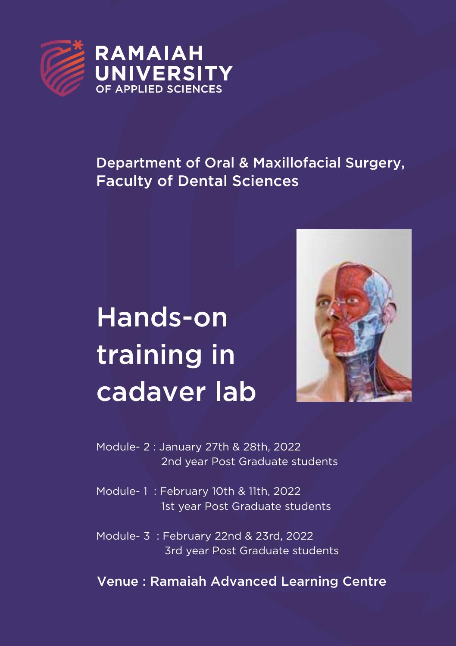

## Department of Oral & Maxillofacial Surgery, Faculty of Dental Sciences

# Hands-on training in cadaver lab



Module- 2 : January 27th & 28th, 2022 2nd year Post Graduate students

Module- 1 : February 10th & 11th, 2022 1st year Post Graduate students

Module- 3 : February 22nd & 23rd, 2022 3rd year Post Graduate students

Venue : Ramaiah Advanced Learning Centre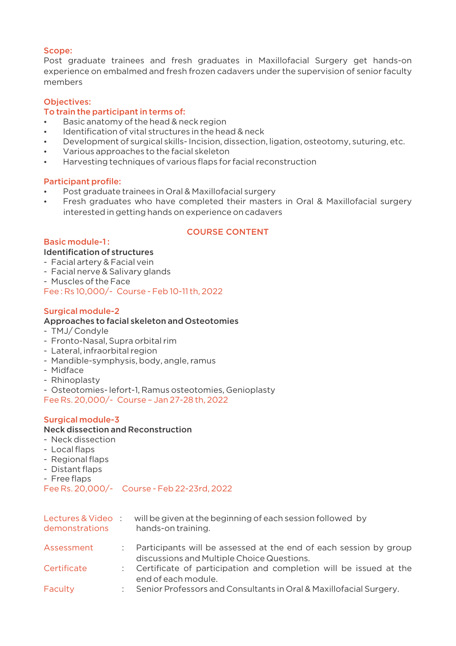#### Scope:

Post graduate trainees and fresh graduates in Maxillofacial Surgery get hands-on experience on embalmed and fresh frozen cadavers under the supervision of senior faculty members

#### Objectives:

#### To train the participant in terms of:

- **•** Basic anatomy of the head & neck region
- $\cdot$  Identification of vital structures in the head & neck
- Development of surgical skills- Incision, dissection, ligation, osteotomy, suturing, etc.
- Various approaches to the facial skeleton
- Harvesting techniques of various flaps for facial reconstruction

#### Participant profile:

- Post graduate trainees in Oral & Maxillofacial surgery
- Fresh graduates who have completed their masters in Oral & Maxillofacial surgery interested in getting hands on experience on cadavers

#### COURSE CONTENT

#### Basic module-1 :

#### Identification of structures

- Facial artery & Facial vein
- Facial nerve & Salivary glands
- Muscles of the Face

Fee : Rs 10,000/- Course - Feb 10-11 th, 2022

#### Surgical module-2

#### Approaches to facial skeleton and Osteotomies

- TMJ/ Condyle
- Fronto-Nasal, Supra orbital rim
- Lateral, infraorbital region
- Mandible-symphysis, body, angle, ramus
- Midface
- Rhinoplasty
- Osteotomies- lefort-1, Ramus osteotomies, Genioplasty

Fee Rs. 20,000/- Course – Jan 27-28 th, 2022

#### Surgical module-3

### Neck dissection and Reconstruction

- Neck dissection
- Local flaps
- Regional flaps
- Distant flaps
- Free flaps

Fee Rs. 20,000/- Course - Feb 22-23rd, 2022

| Lectures & Video:<br>demonstrations | will be given at the beginning of each session followed by<br>hands-on training.                                |
|-------------------------------------|-----------------------------------------------------------------------------------------------------------------|
| Assessment                          | Participants will be assessed at the end of each session by group<br>discussions and Multiple Choice Questions. |
| Certificate                         | Certificate of participation and completion will be issued at the<br>end of each module.                        |
| Faculty                             | Senior Professors and Consultants in Oral & Maxillofacial Surgery.                                              |